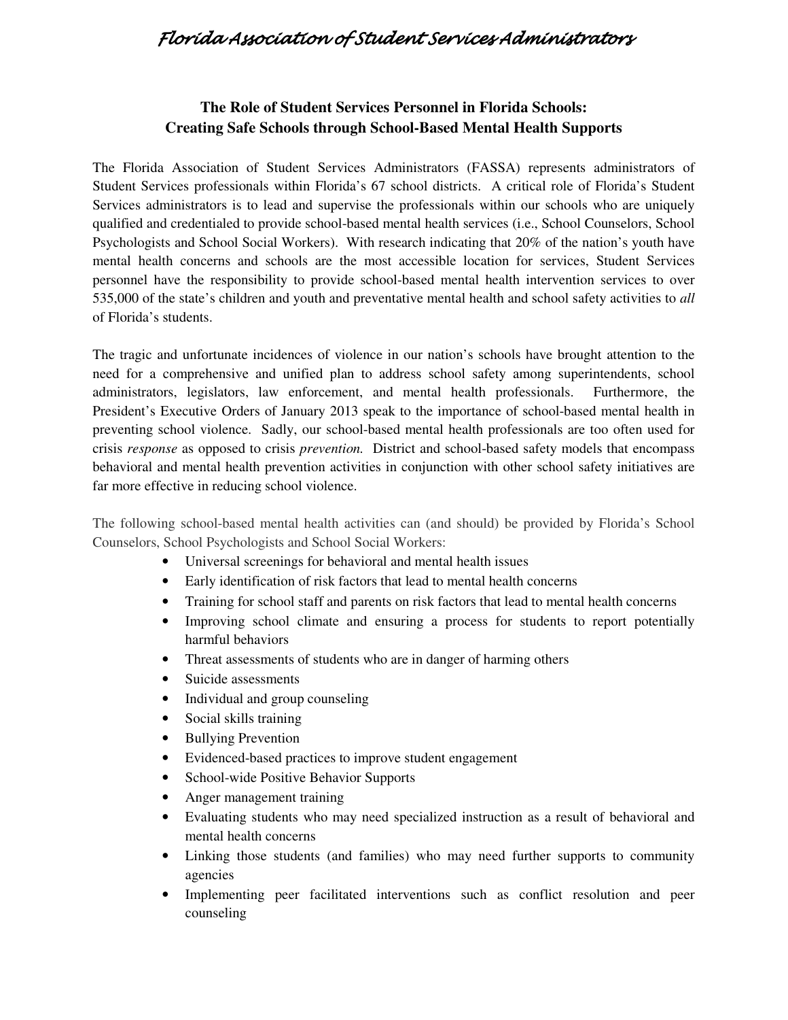## Florida Association of Student Services Administrators

## **The Role of Student Services Personnel in Florida Schools: Creating Safe Schools through School-Based Mental Health Supports**

 The Florida Association of Student Services Administrators (FASSA) represents administrators of Student Services professionals within Florida's 67 school districts. A critical role of Florida's Student Services administrators is to lead and supervise the professionals within our schools who are uniquely qualified and credentialed to provide school-based mental health services (i.e., School Counselors, School Psychologists and School Social Workers). With research indicating that 20% of the nation's youth have mental health concerns and schools are the most accessible location for services, Student Services personnel have the responsibility to provide school-based mental health intervention services to over 535,000 of the state's children and youth and preventative mental health and school safety activities to *all* of Florida's students.

 The tragic and unfortunate incidences of violence in our nation's schools have brought attention to the need for a comprehensive and unified plan to address school safety among superintendents, school administrators, legislators, law enforcement, and mental health professionals. Furthermore, the President's Executive Orders of January 2013 speak to the importance of school-based mental health in preventing school violence. Sadly, our school-based mental health professionals are too often used for crisis *response* as opposed to crisis *prevention.* District and school-based safety models that encompass behavioral and mental health prevention activities in conjunction with other school safety initiatives are far more effective in reducing school violence.

 The following school-based mental health activities can (and should) be provided by Florida's School Counselors, School Psychologists and School Social Workers:

- • Universal screenings for behavioral and mental health issues
- • Early identification of risk factors that lead to mental health concerns
- • Training for school staff and parents on risk factors that lead to mental health concerns
- • Improving school climate and ensuring a process for students to report potentially harmful behaviors
- Threat assessments of students who are in danger of harming others
- Suicide assessments
- Individual and group counseling
- • Social skills training
- Bullying Prevention
- • Evidenced-based practices to improve student engagement
- • School-wide Positive Behavior Supports
- Anger management training
- • Evaluating students who may need specialized instruction as a result of behavioral and mental health concerns
- • Linking those students (and families) who may need further supports to community agencies
- • Implementing peer facilitated interventions such as conflict resolution and peer counseling